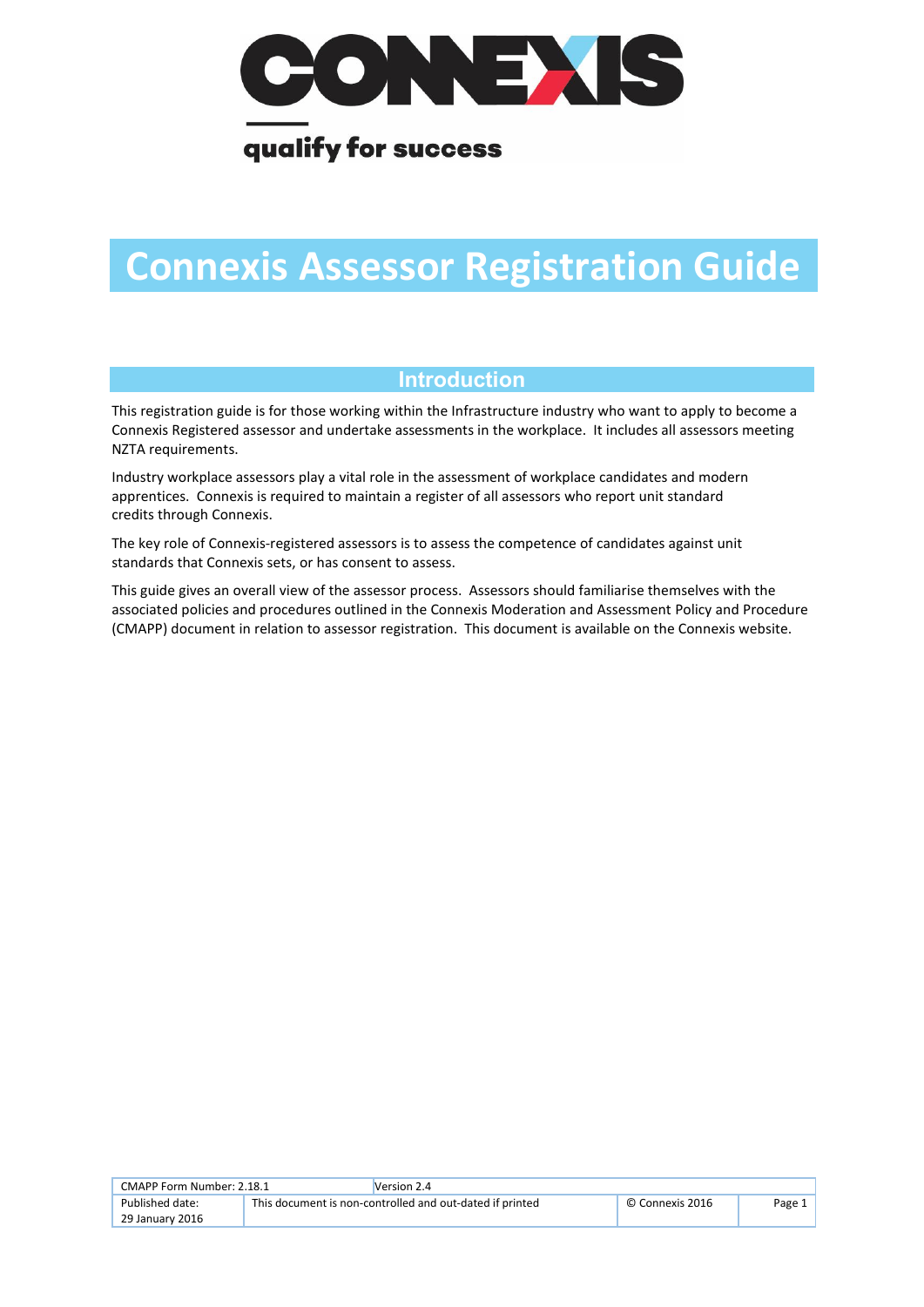

## qualify for success

# **Connexis Assessor Registration Guide**

### **Introduction**

This registration guide is for those working within the Infrastructure industry who want to apply to become a Connexis Registered assessor and undertake assessments in the workplace. It includes all assessors meeting NZTA requirements.

Industry workplace assessors play a vital role in the assessment of workplace candidates and modern apprentices. Connexis is required to maintain a register of all assessors who report unit standard credits through Connexis.

The key role of Connexis-registered assessors is to assess the competence of candidates against unit standards that Connexis sets, or has consent to assess.

This guide gives an overall view of the assessor process. Assessors should familiarise themselves with the associated policies and procedures outlined in the Connexis Moderation and Assessment Policy and Procedure (CMAPP) document in relation to assessor registration. This document is available on the Connexis website.

| CMAPP Form Number: 2.18.1 |                                                          | Version 2.4 |                 |        |
|---------------------------|----------------------------------------------------------|-------------|-----------------|--------|
| Published date:           | This document is non-controlled and out-dated if printed |             | © Connexis 2016 | Page 1 |
| 29 January 2016           |                                                          |             |                 |        |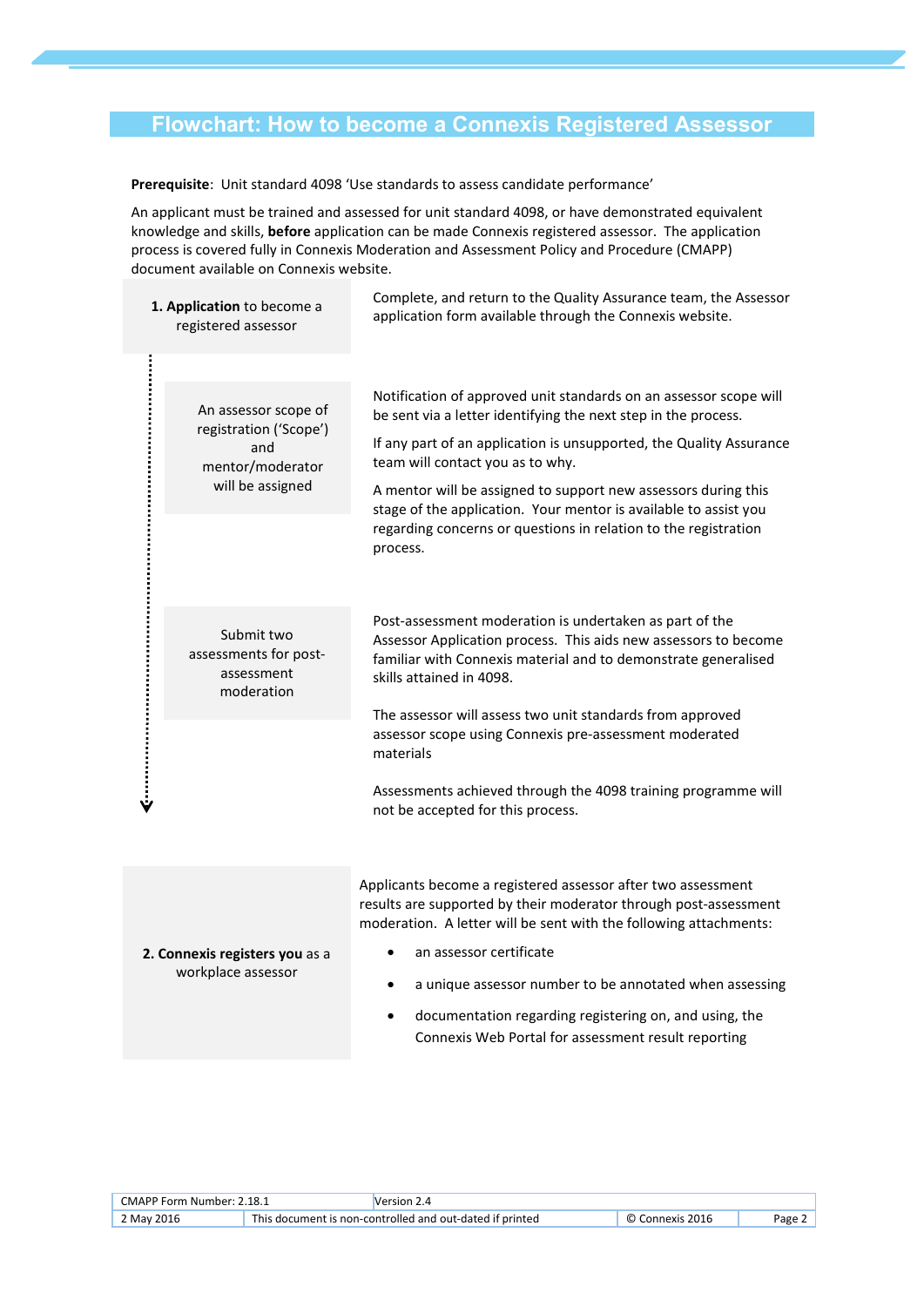#### **Flowchart: How to become a Connexis Registered Assessor**

**Prerequisite**: Unit standard 4098 'Use standards to assess candidate performance'

An applicant must be trained and assessed for unit standard 4098, or have demonstrated equivalent knowledge and skills, **before** application can be made Connexis registered assessor. The application process is covered fully in Connexis Moderation and Assessment Policy and Procedure (CMAPP) document available on Connexis website.

| 1. Application to become a<br>registered assessor |                                                                                               | Complete, and return to the Quality Assurance team, the Assessor<br>application form available through the Connexis website.                                                                                             |  |
|---------------------------------------------------|-----------------------------------------------------------------------------------------------|--------------------------------------------------------------------------------------------------------------------------------------------------------------------------------------------------------------------------|--|
|                                                   |                                                                                               |                                                                                                                                                                                                                          |  |
|                                                   | An assessor scope of<br>registration ('Scope')<br>and<br>mentor/moderator<br>will be assigned | Notification of approved unit standards on an assessor scope will<br>be sent via a letter identifying the next step in the process.                                                                                      |  |
|                                                   |                                                                                               | If any part of an application is unsupported, the Quality Assurance<br>team will contact you as to why.                                                                                                                  |  |
|                                                   |                                                                                               | A mentor will be assigned to support new assessors during this<br>stage of the application. Your mentor is available to assist you<br>regarding concerns or questions in relation to the registration                    |  |
|                                                   |                                                                                               | process.                                                                                                                                                                                                                 |  |
|                                                   | Submit two<br>assessments for post-<br>assessment<br>moderation                               | Post-assessment moderation is undertaken as part of the<br>Assessor Application process. This aids new assessors to become<br>familiar with Connexis material and to demonstrate generalised<br>skills attained in 4098. |  |
|                                                   |                                                                                               | The assessor will assess two unit standards from approved<br>assessor scope using Connexis pre-assessment moderated<br>materials                                                                                         |  |
|                                                   |                                                                                               | Assessments achieved through the 4098 training programme will<br>not be accepted for this process.                                                                                                                       |  |

Applicants become a registered assessor after two assessment results are supported by their moderator through post-assessment moderation. A letter will be sent with the following attachments:

- an assessor certificate
	- a unique assessor number to be annotated when assessing
	- documentation regarding registering on, and using, the Connexis Web Portal for assessment result reporting

| CMAPP Form Number: 2.18.1 |                                                          | Version 2.4 |                    |       |
|---------------------------|----------------------------------------------------------|-------------|--------------------|-------|
| 2 May 2016                | This document is non-controlled and out-dated if printed |             | Connexis 2016<br>O | Page. |

**2. Connexis registers you** as a workplace assessor